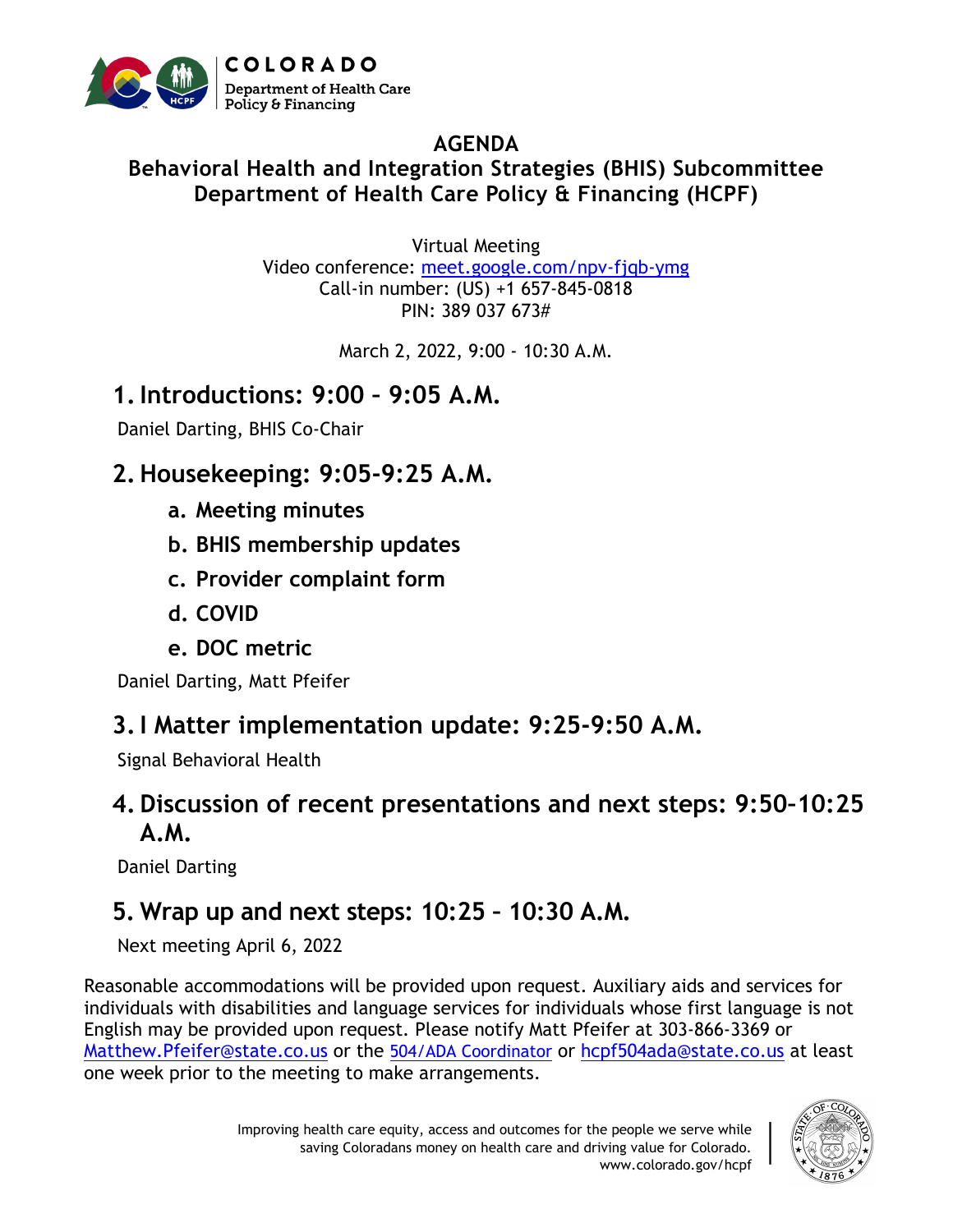

#### **AGENDA**

#### **Behavioral Health and Integration Strategies (BHIS) Subcommittee Department of Health Care Policy & Financing (HCPF)**

Virtual Meeting Video conference: meet.google.com/npv-fjqb-ymg Call-in number: (US) +1 657-845-0818 PIN: 389 037 673#

March 2, 2022, 9:00 - 10:30 A.M.

## **1.Introductions: 9:00 – 9:05 A.M.**

Daniel Darting, BHIS Co-Chair

## **2. Housekeeping: 9:05-9:25 A.M.**

- **a. Meeting minutes**
- **b. BHIS membership updates**
- **c. Provider complaint form**
- **d. COVID**
- **e. DOC metric**

Daniel Darting, Matt Pfeifer

## **3.I Matter implementation update: 9:25-9:50 A.M.**

Signal Behavioral Health

#### **4. Discussion of recent presentations and next steps: 9:50–10:25 A.M.**

Daniel Darting

# **5. Wrap up and next steps: 10:25 – 10:30 A.M.**

Next meeting April 6, 2022

Reasonable accommodations will be provided upon request. Auxiliary aids and services for individuals with disabilities and language services for individuals whose first language is not English may be provided upon request. Please notify Matt Pfeifer at 303-866-3369 or [Matthew.Pfeifer@state.co.us](mailto:Matthew.Pfeifer@state.co.us) or the [504/ADA Coordinator](mailto:504/ADA%20Coordinator) or [hcpf504ada@state.co.us](mailto:hcpf504ada@state.co.us) at least one week prior to the meeting to make arrangements.